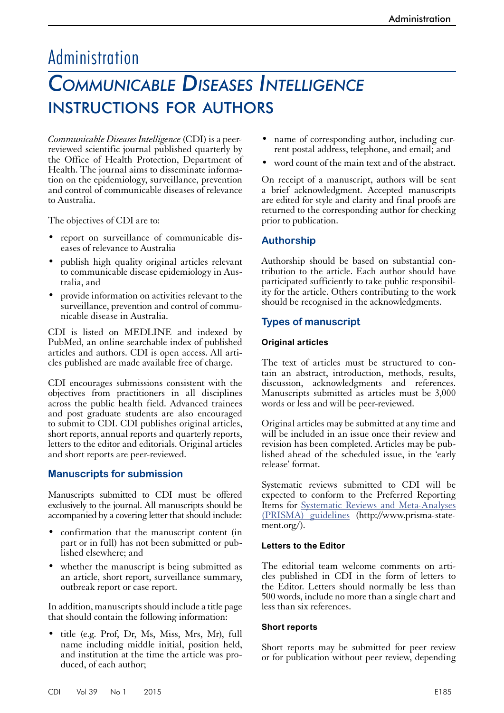# Administration

# *Communicable Diseases Intelligence* instructions for authors

*Communicable Diseases Intelligence* (CDI) is a peerreviewed scientific journal published quarterly by the Office of Health Protection, Department of Health. The journal aims to disseminate information on the epidemiology, surveillance, prevention and control of communicable diseases of relevance to Australia.

The objectives of CDI are to:

- report on surveillance of communicable diseases of relevance to Australia
- publish high quality original articles relevant to communicable disease epidemiology in Australia, and
- provide information on activities relevant to the surveillance, prevention and control of commu- nicable disease in Australia.

CDI is listed on MEDLINE and indexed by PubMed, an online searchable index of published articles and authors. CDI is open access. All articles published are made available free of charge.

CDI encourages submissions consistent with the objectives from practitioners in all disciplines across the public health field. Advanced trainees and post graduate students are also encouraged to submit to CDI. CDI publishes original articles, short reports, annual reports and quarterly reports, letters to the editor and editorials. Original articles and short reports are peer-reviewed.

# **Manuscripts for submission**

Manuscripts submitted to CDI must be offered exclusively to the journal. All manuscripts should be accompanied by a covering letter that should include:

- confirmation that the manuscript content (in part or in full) has not been submitted or pub- lished elsewhere; and
- whether the manuscript is being submitted as an article, short report, surveillance summary, outbreak report or case report.

In addition, manuscripts should include a title page that should contain the following information:

• title (e.g. Prof, Dr, Ms, Miss, Mrs, Mr), full name including middle initial, position held, and institution at the time the article was produced, of each author;

- name of corresponding author, including current postal address, telephone, and email; and
- word count of the main text and of the abstract.

On receipt of a manuscript, authors will be sent a brief acknowledgment. Accepted manuscripts are edited for style and clarity and final proofs are returned to the corresponding author for checking prior to publication.

# **Authorship**

Authorship should be based on substantial contribution to the article. Each author should have participated sufficiently to take public responsibility for the article. Others contributing to the work should be recognised in the acknowledgments.

# **Types of manuscript**

#### **Original articles**

The text of articles must be structured to contain an abstract, introduction, methods, results, discussion, acknowledgments and references. Manuscripts submitted as articles must be 3,000 words or less and will be peer-reviewed.

Original articles may be submitted at any time and will be included in an issue once their review and revision has been completed. Articles may be pub- lished ahead of the scheduled issue, in the 'early release' format.

Systematic reviews submitted to CDI will be expected to conform to the Preferred Reporting Items for [Systematic Reviews and Meta-Analyses](http://www.prisma-statement.org/)  [\(PRISMA\) guidelines](http://www.prisma-statement.org/) (http://www.prisma-statement.org/).

#### **Letters to the Editor**

The editorial team welcome comments on arti- cles published in CDI in the form of letters to the Editor. Letters should normally be less than 500 words, include no more than a single chart and less than six references.

## **Short reports**

Short reports may be submitted for peer review or for publication without peer review, depending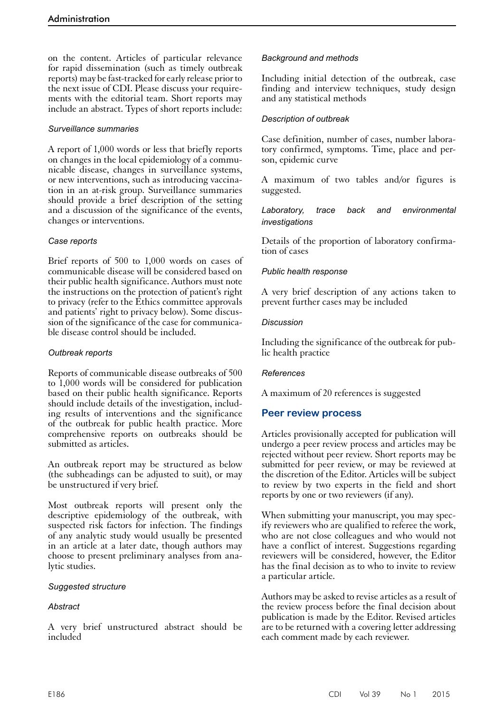on the content. Articles of particular relevance for rapid dissemination (such as timely outbreak reports) may be fast-tracked for early release prior to the next issue of CDI. Please discuss your requirements with the editorial team. Short reports may include an abstract. Types of short reports include:

#### *Surveillance summaries*

A report of 1,000 words or less that briefly reports on changes in the local epidemiology of a communicable disease, changes in surveillance systems, or new interventions, such as introducing vaccination in an at-risk group. Surveillance summaries should provide a brief description of the setting and a discussion of the significance of the events, changes or interventions.

## *Case reports*

Brief reports of 500 to 1,000 words on cases of communicable disease will be considered based on their public health significance. Authors must note the instructions on the protection of patient's right to privacy (refer to the Ethics committee approvals and patients' right to privacy below). Some discussion of the significance of the case for communicable disease control should be included.

### *Outbreak reports*

Reports of communicable disease outbreaks of 500 to 1,000 words will be considered for publication based on their public health significance. Reports should include details of the investigation, includ- ing results of interventions and the significance of the outbreak for public health practice. More comprehensive reports on outbreaks should be submitted as articles.

An outbreak report may be structured as below (the subheadings can be adjusted to suit), or may be unstructured if very brief.

Most outbreak reports will present only the descriptive epidemiology of the outbreak, with suspected risk factors for infection. The findings of any analytic study would usually be presented in an article at a later date, though authors may choose to present preliminary analyses from analytic studies.

## *Suggested structure*

## *Abstract*

A very brief unstructured abstract should be included

## *Background and methods*

Including initial detection of the outbreak, case finding and interview techniques, study design and any statistical methods

#### *Description of outbreak*

Case definition, number of cases, number laboratory confirmed, symptoms. Time, place and person, epidemic curve

A maximum of two tables and/or figures is suggested.

## *Laboratory, trace back and environmental investigations*

Details of the proportion of laboratory confirmation of cases

## *Public health response*

A very brief description of any actions taken to prevent further cases may be included

#### *Discussion*

Including the significance of the outbreak for public health practice

#### *References*

A maximum of 20 references is suggested

# **Peer review process**

Articles provisionally accepted for publication will undergo a peer review process and articles may be rejected without peer review. Short reports may be submitted for peer review, or may be reviewed at the discretion of the Editor. Articles will be subject to review by two experts in the field and short reports by one or two reviewers (if any).

When submitting your manuscript, you may specify reviewers who are qualified to referee the work, who are not close colleagues and who would not have a conflict of interest. Suggestions regarding reviewers will be considered, however, the Editor has the final decision as to who to invite to review a particular article.

Authors may be asked to revise articles as a result of the review process before the final decision about publication is made by the Editor. Revised articles are to be returned with a covering letter addressing each comment made by each reviewer.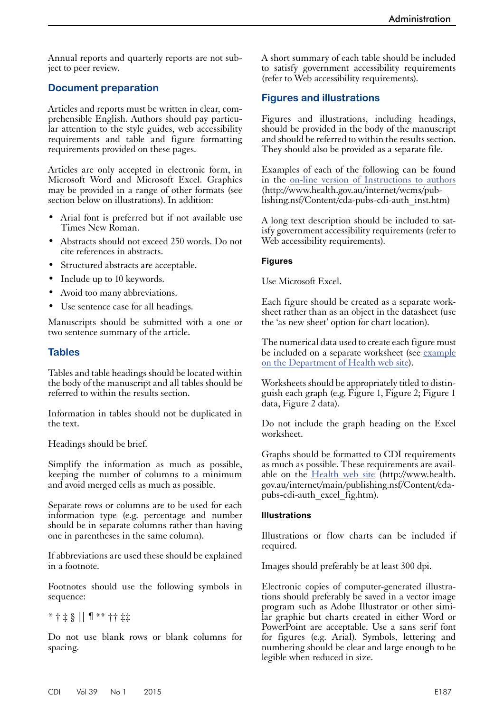Annual reports and quarterly reports are not subject to peer review.

## **Document preparation**

Articles and reports must be written in clear, comprehensible English. Authors should pay particular attention to the style guides, web accessibility requirements and table and figure formatting requirements provided on these pages.

Articles are only accepted in electronic form, in Microsoft Word and Microsoft Excel. Graphics may be provided in a range of other formats (see section below on illustrations). In addition:

- Arial font is preferred but if not available use Times New Roman.
- Abstracts should not exceed 250 words. Do not cite references in abstracts.
- Structured abstracts are acceptable.
- Include up to 10 keywords.
- Avoid too many abbreviations.
- Use sentence case for all headings.

Manuscripts should be submitted with a one or two sentence summary of the article.

## **Tables**

Tables and table headings should be located within the body of the manuscript and all tables should be referred to within the results section.

Information in tables should not be duplicated in the text.

Headings should be brief.

Simplify the information as much as possible, keeping the number of columns to a minimum and avoid merged cells as much as possible.

Separate rows or columns are to be used for each information type (e.g. percentage and number should be in separate columns rather than having one in parentheses in the same column).

If abbreviations are used these should be explained in a footnote.

Footnotes should use the following symbols in sequence:

## \* † ‡ § || ¶ \*\* †† ‡‡

Do not use blank rows or blank columns for spacing.

A short summary of each table should be included to satisfy government accessibility requirements (refer to Web accessibility requirements).

## **Figures and illustrations**

Figures and illustrations, including headings, should be provided in the body of the manuscript and should be referred to within the results section. They should also be provided as a separate file.

Examples of each of the following can be found in the [on-line version of Instructions to authors](http://www.health.gov.au/internet/wcms/publishing.nsf/Content/cda-pubs-cdi-auth_inst.htm) (http://www.health.gov.au/internet/wcms/publishing.nsf/Content/cda-pubs-cdi-auth\_inst.htm)

A long text description should be included to satisfy government accessibility requirements (refer to Web accessibility requirements).

#### **Figures**

Use Microsoft Excel.

Each figure should be created as a separate worksheet rather than as an object in the datasheet (use the 'as new sheet' option for chart location).

The numerical data used to create each figure must be included on a separate worksheet (see example on the Department of Health web site).

Worksheets should be appropriately titled to distinguish each graph (e.g. Figure 1, Figure 2; Figure 1 data, Figure 2 data).

Do not include the graph heading on the Excel worksheet.

Graphs should be formatted to CDI requirements as much as possible. These requirements are available on the [Health web site](http://www.health.gov.au/internet/main/publishing.nsf/Content/cda-pubs-cdi-auth_excel_fig.htm) (http://www.health. gov.au/internet/main/publishing.nsf/Content/cdapubs-cdi-auth\_excel\_fig.htm).

#### **Illustrations**

Illustrations or flow charts can be included if required.

Images should preferably be at least 300 dpi.

Electronic copies of computer-generated illustra- tions should preferably be saved in a vector image program such as Adobe Illustrator or other similar graphic but charts created in either Word or PowerPoint are acceptable. Use a sans serif font for figures (e.g. Arial). Symbols, lettering and numbering should be clear and large enough to be legible when reduced in size.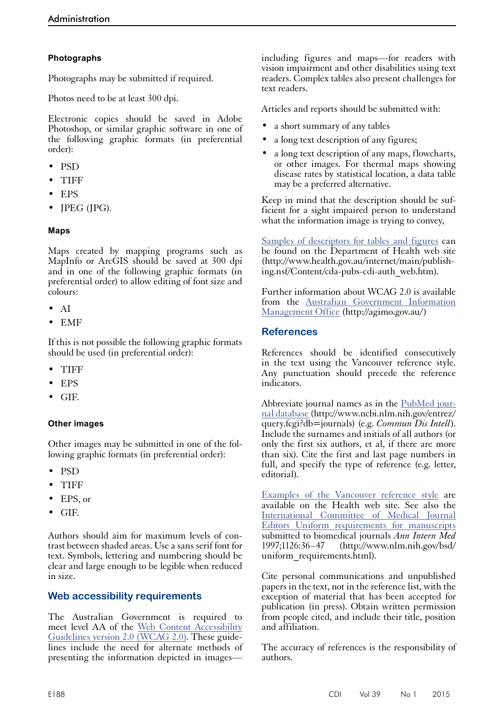## **Photographs**

Photographs may be submitted if required.

Photos need to be at least 300 dpi.

Electronic copies should be saved in Adobe Photoshop, or similar graphic software in one of the following graphic formats (in preferential order):

- PSD
- TIFF
- EPS
- JPEG (JPG).

## **Maps**

Maps created by mapping programs such as MapInfo or ArcGIS should be saved at 300 dpi and in one of the following graphic formats (in preferential order) to allow editing of font size and colours:

- AI
- EMF

If this is not possible the following graphic formats should be used (in preferential order):

- TIFF
- EPS
- GIF.

## **Other images**

Other images may be submitted in one of the fol-<br>lowing graphic formats (in preferential order):

- PSD
- TIFF
- EPS, or
- GIF.

Authors should aim for maximum levels of contrast between shaded areas. Use a sans serif font for text. Symbols, lettering and numbering should be clear and large enough to be legible when reduced in size.

# **Web accessibility requirements**

The Australian Government is required to meet level AA of the [Web Content Accessibility](http://www.w3.org/TR/WCAG20/) [Guidelines version 2.0 \(WCAG 2.0\)](http://www.w3.org/TR/WCAG20/). These guidelines include the need for alternate methods of presenting the information depicted in imagesincluding figures and maps—for readers with vision impairment and other disabilities using text readers. Complex tables also present challenges for text readers.

Articles and reports should be submitted with:

- a short summary of any tables
- a long text description of any figures;
- a long text description of any maps, flowcharts, or other images. For thermal maps showing disease rates by statistical location, a data table may be a preferred alternative.

Keep in mind that the description should be sufficient for a sight impaired person to understand what the information image is trying to convey,

[Samples of descriptors for tables and figures](http://www.health.gov.au/internet/main/publishing.nsf/Content/cda-pubs-cdi-auth_web.htm) can be found on the Department of Health web site (http://www.health.gov.au/internet/main/publishing.nsf/Content/cda-pubs-cdi-auth\_web.htm).

Further information about WCAG 2.0 is available from the [Australian Government Information](http://agimo.gov.au/)  [Management Office](http://agimo.gov.au/) (http://agimo.gov.au/)

## **References**

References should be identified consecutively in the text using the Vancouver reference style. Any punctuation should precede the reference indicators.

Abbreviate journal names as in the PubMed jour[nal database](http://www.ncbi.nlm.nih.gov/entrez/query.fcgi?db=journals) (http://www.ncbi.nlm.nih.gov/entrez/ query.fcgi?db=journals) (e.g. *Commun Dis Intell*). Include the surnames and initials of all authors (or only the first six authors, et al, if there are more than six). Cite the first and last page numbers in full, and specify the type of reference (e.g. letter, editorial).

[Examples of the Vancouver reference style](http://www.health.gov.au/internet/main/publishing.nsf/Content/cda-pubs-cdi-auth_van_style.htm) are available on the Health web site. See also the [International Committee of Medical Journal](http://www.nlm.nih.gov/bsd/uniform_requirements.html)  [Editors Uniform requirements for manuscripts](http://www.nlm.nih.gov/bsd/uniform_requirements.html) submitted to biomedical journals *Ann Intern Med* 1997;1126:36–47 (http://www.nlm.nih.gov/bsd/ uniform\_requirements.html).

Cite personal communications and unpublished papers in the text, not in the reference list, with the exception of material that has been accepted for publication (in press). Obtain written permission from people cited, and include their title, position and affiliation.

The accuracy of references is the responsibility of authors.